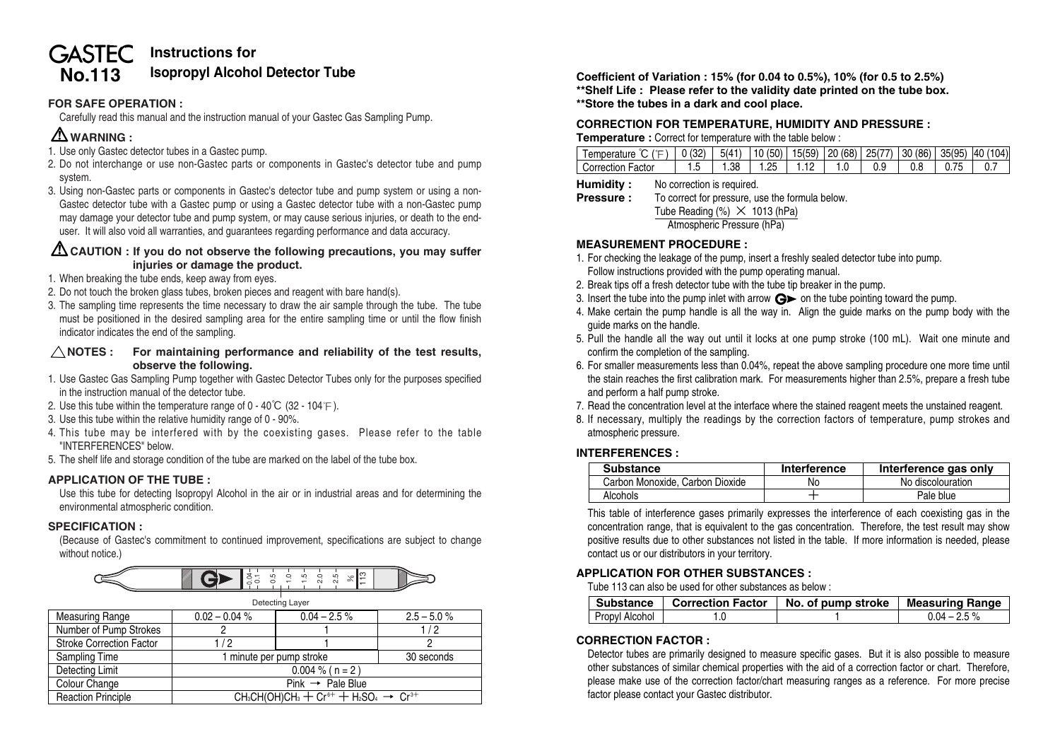# **Instructions for GASTEC No.113 Isopropyl Alcohol Detector Tube Coefficient of Variation : 15% (for 0.04 to 0.5%), 10% (for 0.5 to 2.5%)**

# **FOR SAFE OPERATION :**

Carefully read this manual and the instruction manual of your Gastec Gas Sampling Pump.

# **WARNING :**

- 1. Use only Gastec detector tubes in a Gastec pump.
- 2. Do not interchange or use non-Gastec parts or components in Gastec's detector tube and pump system.
- 3. Using non-Gastec parts or components in Gastec's detector tube and pump system or using a non-Gastec detector tube with a Gastec pump or using a Gastec detector tube with a non-Gastec pump may damage your detector tube and pump system, or may cause serious injuries, or death to the enduser. It will also void all warranties, and guarantees regarding performance and data accuracy.

## **CAUTION : If you do not observe the following precautions, you may suffer injuries or damage the product.**

- 1. When breaking the tube ends, keep away from eyes.
- 2. Do not touch the broken glass tubes, broken pieces and reagent with bare hand(s).
- 3. The sampling time represents the time necessary to draw the air sample through the tube. The tube must be positioned in the desired sampling area for the entire sampling time or until the flow finish indicator indicates the end of the sampling.

#### $\triangle$  NOTES : For maintaining performance and reliability of the test results. **observe the following.**

- 1. Use Gastec Gas Sampling Pump together with Gastec Detector Tubes only for the purposes specified in the instruction manual of the detector tube.
- 2. Use this tube within the temperature range of  $0 40^{\circ}C$  (32 104<sup>°</sup>F).
- 3. Use this tube within the relative humidity range of 0 90%.
- 4. This tube may be interfered with by the coexisting gases. Please refer to the table "INTERFERENCES" below.
- 5. The shelf life and storage condition of the tube are marked on the label of the tube box.

#### **APPLICATION OF THE TUBE :**

Use this tube for detecting Isopropyl Alcohol in the air or in industrial areas and for determining the environmental atmospheric condition.

#### **SPECIFICATION :**

(Because of Gastec's commitment to continued improvement, specifications are subject to change without notice.)



| Detecting Layer                        |                                                                                                                          |                 |               |  |  |
|----------------------------------------|--------------------------------------------------------------------------------------------------------------------------|-----------------|---------------|--|--|
| <b>Measuring Range</b>                 | $0.02 - 0.04 %$                                                                                                          | $0.04 - 2.5 \%$ | $2.5 - 5.0 %$ |  |  |
| Number of Pump Strokes                 |                                                                                                                          |                 | 1/2           |  |  |
| <b>Stroke Correction Factor</b><br>1/2 |                                                                                                                          |                 |               |  |  |
| Sampling Time                          | 1 minute per pump stroke                                                                                                 |                 | 30 seconds    |  |  |
| Detecting Limit                        | $0.004 \%$ ( n = 2 )                                                                                                     |                 |               |  |  |
| Colour Change                          | $Pink \rightarrow Pale Blue$                                                                                             |                 |               |  |  |
| <b>Reaction Principle</b>              | CH <sub>3</sub> CH(OH)CH <sub>3</sub> + Cr <sup>6+</sup> + H <sub>2</sub> SO <sub>4</sub> $\rightarrow$ Cr <sup>3+</sup> |                 |               |  |  |

**\*\*Shelf Life : Please refer to the validity date printed on the tube box. \*\*Store the tubes in a dark and cool place.**

#### **CORRECTION FOR TEMPERATURE, HUMIDITY AND PRESSURE : Temperature :** Correct for temperature with the table below :

| ) ℃ ( ( E ) │ 0 (32) │ 5(41) │10 (50)│15(59)│20 (68)│25(77)│30 (86)│35(95)│40 (104)│<br>l emperature |      |     |                              |     |     |  |
|------------------------------------------------------------------------------------------------------|------|-----|------------------------------|-----|-----|--|
| شorrection Factor                                                                                    | 1.38 | 195 | $\ldots$ 1.12   1.0 $\ldots$ | 0.9 | 0.8 |  |

**Humidity :** No correction is required.

```
Pressure : To correct for pressure, use the formula below.
     Tube Reading (\%) \times 1013 (hPa)
       Atmospheric Pressure (hPa)
```
#### **MEASUREMENT PROCEDURE :**

- 1. For checking the leakage of the pump, insert a freshly sealed detector tube into pump. Follow instructions provided with the pump operating manual.
- 2. Break tips off a fresh detector tube with the tube tip breaker in the pump.
- 3. Insert the tube into the pump inlet with arrow  $\mathbf{G}$  on the tube pointing toward the pump.
- 4. Make certain the pump handle is all the way in. Align the guide marks on the pump body with the guide marks on the handle.
- 5. Pull the handle all the way out until it locks at one pump stroke (100 mL). Wait one minute and confirm the completion of the sampling.
- 6. For smaller measurements less than 0.04%, repeat the above sampling procedure one more time until the stain reaches the first calibration mark. For measurements higher than 2.5%, prepare a fresh tube and perform a half pump stroke.
- 7. Read the concentration level at the interface where the stained reagent meets the unstained reagent.
- 8. If necessary, multiply the readings by the correction factors of temperature, pump strokes and atmospheric pressure.

# **INTERFERENCES :**

| <b>Substance</b>                | Interference | Interference gas only |
|---------------------------------|--------------|-----------------------|
| Carbon Monoxide, Carbon Dioxide | No           | No discolouration     |
| Alcohols                        |              | Pale blue             |

This table of interference gases primarily expresses the interference of each coexisting gas in the concentration range, that is equivalent to the gas concentration. Therefore, the test result may show positive results due to other substances not listed in the table. If more information is needed, please contact us or our distributors in your territory.

# **APPLICATION FOR OTHER SUBSTANCES :**

Tube 113 can also be used for other substances as below :

|                | Substance   Correction Factor | No. of pump stroke | Measuring Range |
|----------------|-------------------------------|--------------------|-----------------|
| Propyl Alcohol |                               |                    | $0.04 - 2.5 \%$ |

# **CORRECTION FACTOR :**

Detector tubes are primarily designed to measure specific gases. But it is also possible to measure other substances of similar chemical properties with the aid of a correction factor or chart. Therefore, please make use of the correction factor/chart measuring ranges as a reference. For more precise factor please contact your Gastec distributor.